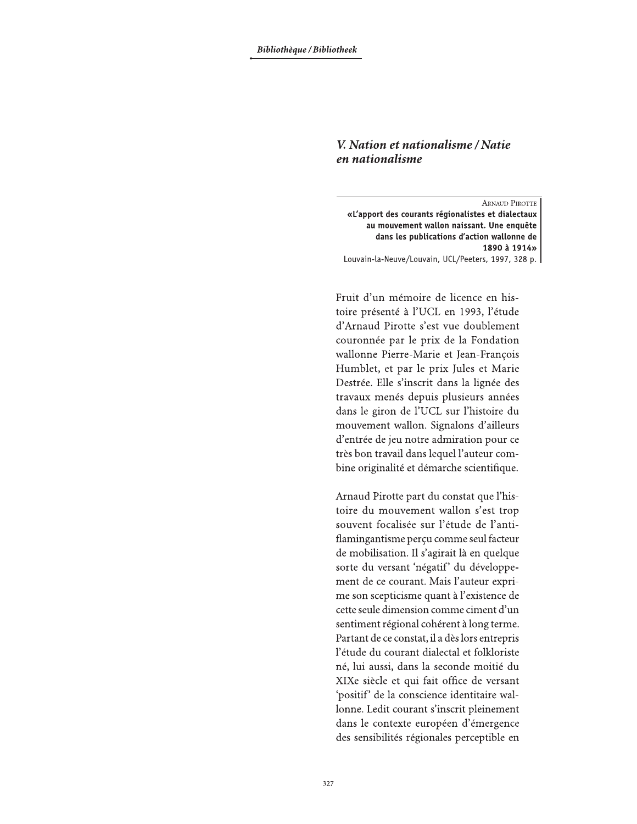## V. Nation et nationalisme / Natie en nationalisme

**ARNAUD PIROTTE** «L'apport des courants régionalistes et dialectaux au mouvement wallon naissant. Une enquête dans les publications d'action wallonne de 1890 à 1914» Louvain-la-Neuve/Louvain, UCL/Peeters, 1997, 328 p.

Fruit d'un mémoire de licence en histoire présenté à l'UCL en 1993, l'étude d'Arnaud Pirotte s'est vue doublement couronnée par le prix de la Fondation wallonne Pierre-Marie et Jean-François Humblet, et par le prix Jules et Marie Destrée. Elle s'inscrit dans la lignée des travaux menés depuis plusieurs années dans le giron de l'UCL sur l'histoire du mouvement wallon. Signalons d'ailleurs d'entrée de jeu notre admiration pour ce très bon travail dans lequel l'auteur combine originalité et démarche scientifique.

Arnaud Pirotte part du constat que l'histoire du mouvement wallon s'est trop souvent focalisée sur l'étude de l'antiflamingantisme perçu comme seul facteur de mobilisation. Il s'agirait là en quelque sorte du versant 'négatif' du développement de ce courant. Mais l'auteur exprime son scepticisme quant à l'existence de cette seule dimension comme ciment d'un sentiment régional cohérent à long terme. Partant de ce constat, il a dès lors entrepris l'étude du courant dialectal et folkloriste né, lui aussi, dans la seconde moitié du XIXe siècle et qui fait office de versant 'positif' de la conscience identitaire wallonne. Ledit courant s'inscrit pleinement dans le contexte européen d'émergence des sensibilités régionales perceptible en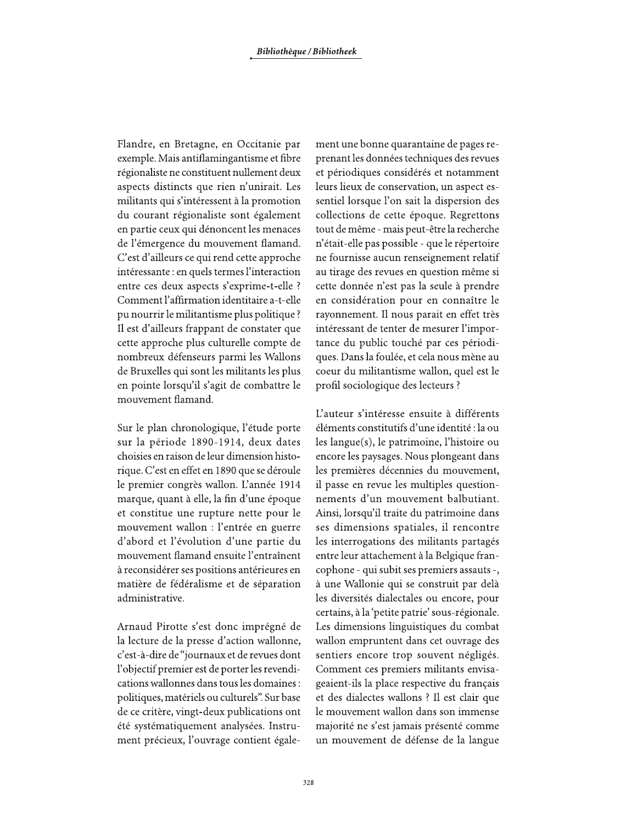Flandre, en Bretagne, en Occitanie par exemple. Mais antiflamingantisme et fibre régionaliste ne constituent nullement deux aspects distincts que rien n'unirait. Les militants qui s'intéressent à la promotion du courant régionaliste sont également en partie ceux qui dénoncent les menaces de l'émergence du mouvement flamand. C'est d'ailleurs ce qui rend cette approche intéressante : en quels termes l'interaction entre ces deux aspects s'exprime-t-elle ? Comment l'affirmation identitaire a-t-elle pu nourrir le militantisme plus politique ? Il est d'ailleurs frappant de constater que cette approche plus culturelle compte de nombreux défenseurs parmi les Wallons de Bruxelles qui sont les militants les plus en pointe lorsqu'il s'agit de combattre le mouvement flamand.

Sur le plan chronologique, l'étude porte sur la période 1890-1914, deux dates choisies en raison de leur dimension historique. C'est en effet en 1890 que se déroule le premier congrès wallon. L'année 1914 marque, quant à elle, la fin d'une époque et constitue une rupture nette pour le mouvement wallon : l'entrée en guerre d'abord et l'évolution d'une partie du mouvement flamand ensuite l'entraînent à reconsidérer ses positions antérieures en matière de fédéralisme et de séparation administrative.

Arnaud Pirotte s'est donc imprégné de la lecture de la presse d'action wallonne, c'est-à-dire de "journaux et de revues dont l'objectif premier est de porter les revendications wallonnes dans tous les domaines : politiques, matériels ou culturels". Sur base de ce critère, vingt-deux publications ont été systématiquement analysées. Instrument précieux, l'ouvrage contient égale-

ment une bonne quarantaine de pages reprenant les données techniques des revues et périodiques considérés et notamment leurs lieux de conservation, un aspect essentiel lorsque l'on sait la dispersion des collections de cette époque. Regrettons tout de même - mais peut-être la recherche n'était-elle pas possible - que le répertoire ne fournisse aucun renseignement relatif au tirage des revues en question même si cette donnée n'est pas la seule à prendre en considération pour en connaître le rayonnement. Il nous parait en effet très intéressant de tenter de mesurer l'importance du public touché par ces périodiques. Dans la foulée, et cela nous mène au coeur du militantisme wallon, quel est le profil sociologique des lecteurs ?

L'auteur s'intéresse ensuite à différents éléments constitutifs d'une identité : la ou les langue(s), le patrimoine, l'histoire ou encore les paysages. Nous plongeant dans les premières décennies du mouvement, il passe en revue les multiples questionnements d'un mouvement balbutiant. Ainsi, lorsqu'il traite du patrimoine dans ses dimensions spatiales, il rencontre les interrogations des militants partagés entre leur attachement à la Belgique francophone - qui subit ses premiers assauts -, à une Wallonie qui se construit par delà les diversités dialectales ou encore, pour certains, à la 'petite patrie' sous-régionale. Les dimensions linguistiques du combat wallon empruntent dans cet ouvrage des sentiers encore trop souvent négligés. Comment ces premiers militants envisageaient-ils la place respective du français et des dialectes wallons ? Il est clair que le mouvement wallon dans son immense majorité ne s'est jamais présenté comme un mouvement de défense de la langue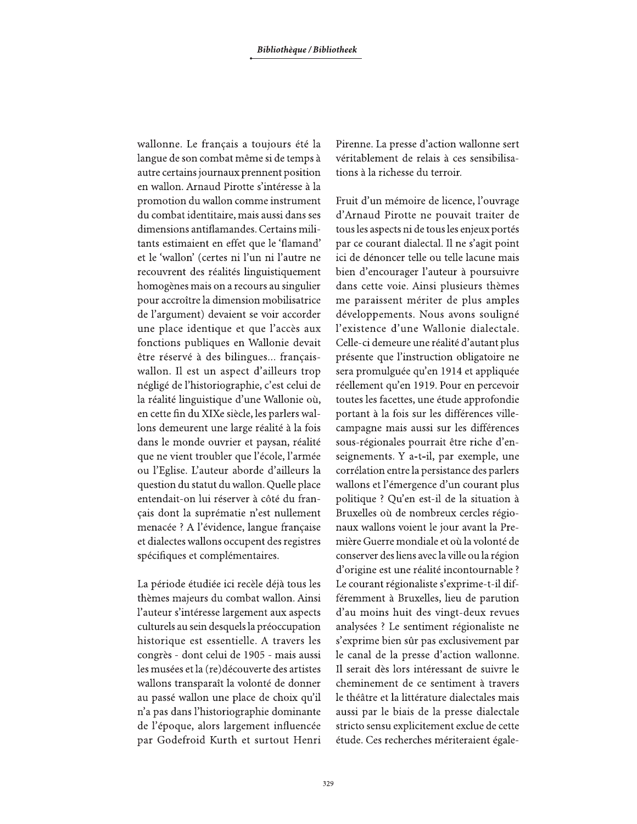wallonne. Le français a toujours été la langue de son combat même si de temps à autre certains journaux prennent position en wallon. Arnaud Pirotte s'intéresse à la promotion du wallon comme instrument du combat identitaire, mais aussi dans ses dimensions antiflamandes. Certains militants estimaient en effet que le 'flamand' et le 'wallon' (certes ni l'un ni l'autre ne recouvrent des réalités linguistiquement homogènes mais on a recours au singulier pour accroître la dimension mobilisatrice de l'argument) devaient se voir accorder une place identique et que l'accès aux fonctions publiques en Wallonie devait être réservé à des bilingues... françaiswallon. Il est un aspect d'ailleurs trop négligé de l'historiographie, c'est celui de la réalité linguistique d'une Wallonie où, en cette fin du XIXe siècle, les parlers wallons demeurent une large réalité à la fois dans le monde ouvrier et paysan, réalité que ne vient troubler que l'école, l'armée ou l'Eglise. L'auteur aborde d'ailleurs la question du statut du wallon. Quelle place entendait-on lui réserver à côté du français dont la suprématie n'est nullement menacée ? A l'évidence, langue française et dialectes wallons occupent des registres spécifiques et complémentaires.

La période étudiée ici recèle déjà tous les thèmes majeurs du combat wallon. Ainsi l'auteur s'intéresse largement aux aspects culturels au sein desquels la préoccupation historique est essentielle. A travers les congrès - dont celui de 1905 - mais aussi les musées et la (re)découverte des artistes wallons transparaît la volonté de donner au passé wallon une place de choix qu'il n'a pas dans l'historiographie dominante de l'époque, alors largement influencée par Godefroid Kurth et surtout Henri Pirenne. La presse d'action wallonne sert véritablement de relais à ces sensibilisations à la richesse du terroir.

Fruit d'un mémoire de licence, l'ouvrage d'Arnaud Pirotte ne pouvait traiter de tous les aspects ni de tous les enjeux portés par ce courant dialectal. Il ne s'agit point ici de dénoncer telle ou telle lacune mais bien d'encourager l'auteur à poursuivre dans cette voie. Ainsi plusieurs thèmes me paraissent mériter de plus amples développements. Nous avons souligné l'existence d'une Wallonie dialectale. Celle-ci demeure une réalité d'autant plus présente que l'instruction obligatoire ne sera promulguée qu'en 1914 et appliquée réellement qu'en 1919. Pour en percevoir toutes les facettes, une étude approfondie portant à la fois sur les différences villecampagne mais aussi sur les différences sous-régionales pourrait être riche d'enseignements. Y a-t-il, par exemple, une corrélation entre la persistance des parlers wallons et l'émergence d'un courant plus politique ? Qu'en est-il de la situation à Bruxelles où de nombreux cercles régionaux wallons voient le jour avant la Première Guerre mondiale et où la volonté de conserver des liens avec la ville ou la région d'origine est une réalité incontournable ? Le courant régionaliste s'exprime-t-il différemment à Bruxelles, lieu de parution d'au moins huit des vingt-deux revues analysées ? Le sentiment régionaliste ne s'exprime bien sûr pas exclusivement par le canal de la presse d'action wallonne. Il serait dès lors intéressant de suivre le cheminement de ce sentiment à travers le théâtre et la littérature dialectales mais aussi par le biais de la presse dialectale stricto sensu explicitement exclue de cette étude. Ces recherches mériteraient égale